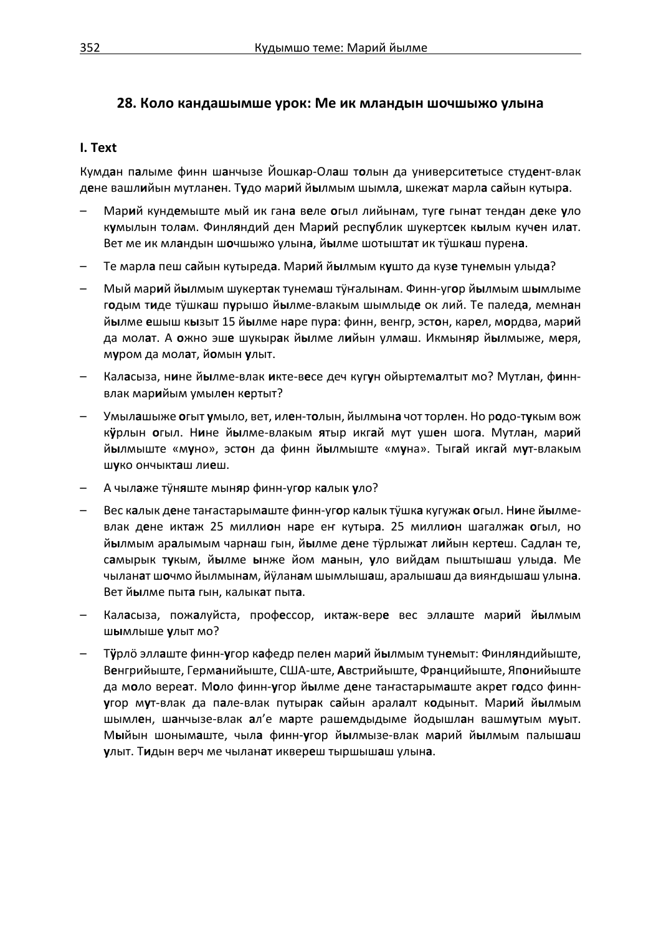## **28. Коло кандашымше урок: Ме ик мландын шочшыжо улына**

#### **I. Text**

Кумд**а**н п**а**лыме финн ш**а**нчызе Йошк**а**р-Ол**а**ш т**о**лын да университ**е**тысе студ**е**нт-влак д**е**не вашл**и**йын мутлан**е**н. Т**у**до мар**и**й й**ы**лмым шымл**а**, шкеж**а**т марл**а** с**а**йын кутыр**а**.

- Мар**и**й кунд**е**мыште мый ик ган**а** в**е**ле **о**гыл лийын**а**м, туг**е** гын**а**т тенд**а**н д**е**ке **у**ло к**у**мылын тол**а**м. Финл**я**ндий ден Мар**и**й респ**у**блик шукертс**е**к к**ы**лым куч**е**н ил**а**т. Вет ме ик мл**а**ндын ш**о**чшыжо улын**а**, й**ы**лме шотышт**а**т ик тӱшк**а**ш пурен**а**.
- Те марл**а** пеш с**а**йын кутыред**а**. Мар**и**й й**ы**лмым к**у**што да куз**е** тун**е**мын улыд**а**?
- Мый мар**и**й й**ы**лмым шукерт**а**к тунем**а**ш тӱҥалын**а**м. Финн-уг**о**р й**ы**лмым ш**ы**млыме г**о**дым т**и**де тӱшк**а**ш п**у**рышо й**ы**лме-влакым шымлыд**е** ок лий. Те палед**а**, мемн**а**н й**ы**лме **е**шыш к**ы**зыт 15 й**ы**лме н**а**ре пур**а**: финн, венгр, эст**о**н, кар**е**л, м**о**рдва, мар**и**й да мол**а**т. А **о**жно эш**е** шукыр**а**к й**ы**лме л**и**йын улм**а**ш. Икмын**я**р й**ы**лмыже, м**е**ря, м**у**ром да мол**а**т, й**о**мын **у**лыт.
- Кал**а**сыза, н**и**не й**ы**лме-влак **и**кте-в**е**се деч куг**у**н ойыртем**а**лтыт мо? Мутл**а**н, ф**и**ннвлак мар**и**йым умыл**е**н к**е**ртыт?
- Умыл**а**шыже **о**гыт **у**мыло, вет, ил**е**н-т**о**лын, йылмын**а** чот торл**е**н. Но р**о**до-т**у**кым вож к**ӱ**рлын **о**гыл. Н**и**не й**ы**лме-влакым **я**тыр икг**а**й мут уш**е**н шог**а**. Мутл**а**н, мар**и**й й**ы**лмыште «м**у**но», эст**о**н да финн й**ы**лмыште «м**у**на». Тыг**а**й икг**а**й м**у**т-влакым ш**у**ко ончыкт**а**ш ли**е**ш.
- А чыл**а**же тӱн**я**ште мын**я**р финн-уг**о**р к**а**лык **у**ло?
- Вес к**а**лык д**е**не таҥастарым**а**ште финн-уг**о**р к**а**лык тӱшк**а** кугуж**а**к **о**гыл. Н**и**не й**ы**лмевлак д**е**не икт**а**ж 25 милли**о**н н**а**ре еҥ кутыр**а**. 25 милли**о**н шагалж**а**к **о**гыл, но й**ы**лмым ар**а**лымым чарн**а**ш гын, й**ы**лме д**е**не тӱрлыж**а**т л**и**йын керт**е**ш. Садл**а**н те, с**а**мырык т**у**кым, й**ы**лме **ы**нже йом м**а**нын, **у**ло вийд**а**м пыштыш**а**ш улыд**а**. Ме чылан**а**т ш**о**чмо йылмын**а**м, йӱлан**а**м шымлыш**а**ш, аралыш**а**ш да вияҥдыш**а**ш улын**а**. Вет й**ы**лме пыт**а** гын, калык**а**т пыт**а**.
- Кал**а**сыза, пож**а**луйста, проф**е**ссор, икт**а**ж-вер**е** вес элл**а**ште мар**и**й й**ы**лмым ш**ы**млыше **у**лыт мо?
- Т**ӱ**рлӧ элл**а**ште финн-**у**гор к**а**федр пел**е**н мар**и**й й**ы**лмым тун**е**мыт: Финл**я**ндийыште, В**е**нгрийыште, Герм**а**нийыште, США-ште, **А**встрийыште, Фр**а**нцийыште, Яп**о**нийыште да м**о**ло вере**а**т. М**о**ло финн-**у**гор й**ы**лме д**е**не таҥастарым**а**ште акр**е**т г**о**дсо финн**у**гор м**у**т-влак да п**а**ле-влак путыр**а**к с**а**йын арал**а**лт к**о**дыныт. Мар**и**й й**ы**лмым шымл**е**н, ш**а**нчызе-влак **а**л'е м**а**рте раш**е**мдыдыме йодышл**а**н вашм**у**тым м**у**ыт. М**ы**йын шоным**а**ште, чыл**а** финн-**у**гор й**ы**лмызе-влак м**а**рий й**ы**лмым палыш**а**ш **у**лыт. Т**и**дын верч ме чылан**а**т иквер**е**ш тыршыш**а**ш улын**а**.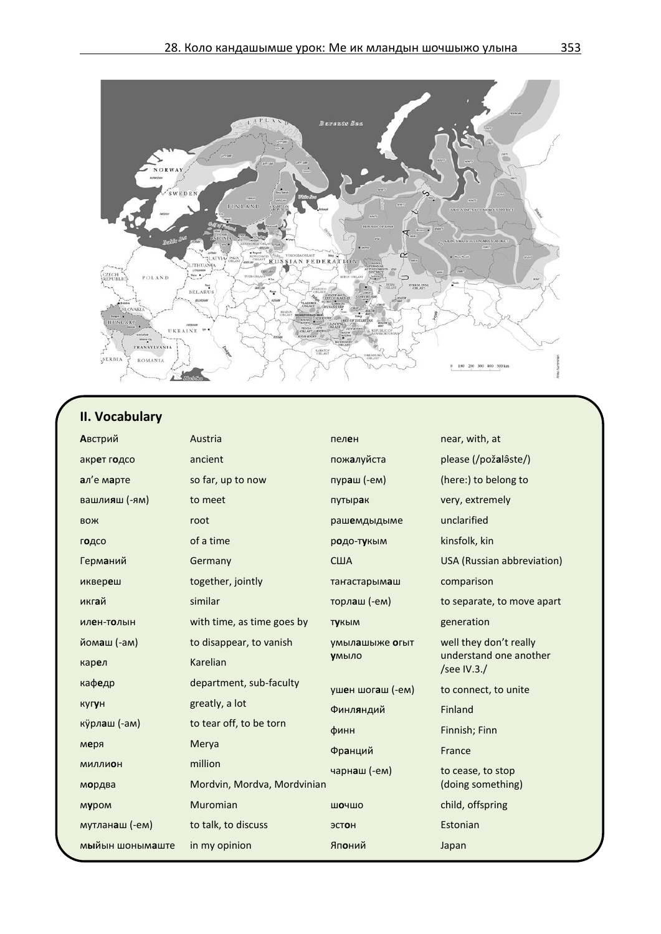

# **II. Vocabulary**

| Австрий         | Austria                     | пелен               | near, with, at                        |
|-----------------|-----------------------------|---------------------|---------------------------------------|
| акрет годсо     | ancient                     | пож <b>а</b> луйста | please (/požalâste/)                  |
| ал'е марте      | so far, up to now           | пураш (-ем)         | (here:) to belong to                  |
| вашлияш (-ям)   | to meet                     | путырак             | very, extremely                       |
| <b>BOX</b>      | root                        | рашемдыдыме         | unclarified                           |
| годсо           | of a time                   | родо-тукым          | kinsfolk, kin                         |
| Германий        | Germany                     | США                 | USA (Russian abbreviation)            |
| иквереш         | together, jointly           | танастарымаш        | comparison                            |
| икгай           | similar                     | торлаш (-ем)        | to separate, to move apart            |
| илен-толын      | with time, as time goes by  | <b>ТУКЫМ</b>        | generation                            |
| йомаш (-ам)     | to disappear, to vanish     | умылашыже огыт      | well they don't really                |
| карел           | Karelian                    | умыло               | understand one another<br>/see IV.3./ |
| кафедр          | department, sub-faculty     | ушен шогаш (-ем)    | to connect, to unite                  |
| кугун           | greatly, a lot              | Финляндий           | Finland                               |
| курлаш (-ам)    | to tear off, to be torn     | финн                | Finnish; Finn                         |
| меря            | Merya                       | Франций             | France                                |
| МИЛЛИОН         | million                     | чарнаш (-ем)        | to cease, to stop                     |
| мордва          | Mordvin, Mordva, Mordvinian |                     | (doing something)                     |
| муром           | Muromian                    | ШОЧШО               | child, offspring                      |
| мутланаш (-ем)  | to talk, to discuss         | ЭСТОН               | Estonian                              |
| мыйын шонымаште | in my opinion               | Японий              | Japan                                 |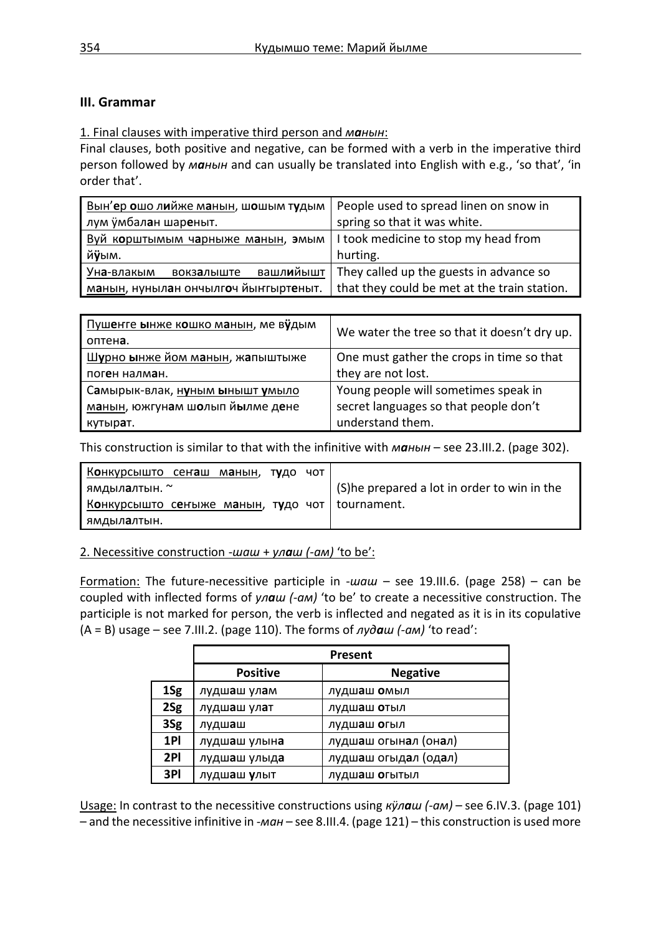## **III. Grammar**

## 1. Final clauses with imperative third person and *манын*:

Final clauses, both positive and negative, can be formed with a verb in the imperative third person followed by *манын* and can usually be translated into English with e.g., 'so that', 'in order that'.

| Вын'ер ошо лийже манын, шошым тудым   | People used to spread linen on snow in       |
|---------------------------------------|----------------------------------------------|
| лум ўмбалан шареныт.                  | spring so that it was white.                 |
| Вуй корштымым чарныже манын, эмым     | I took medicine to stop my head from         |
| йўым.                                 | hurting.                                     |
| вашлийышт<br>Уна-влакым<br>вокзалыште | They called up the guests in advance so      |
| манын, нунылан ончылгоч йынгыртеныт.  | that they could be met at the train station. |

| Пушенге ынже кошко манын, ме вудым | We water the tree so that it doesn't dry up. |
|------------------------------------|----------------------------------------------|
| оптена.                            |                                              |
| Шурно ынже йом манын, жапыштыже    | One must gather the crops in time so that    |
| поген налман.                      | they are not lost.                           |
| Самырык-влак, нуным ынышт умыло    | Young people will sometimes speak in         |
| манын, южгунам шолып йылме дене    | secret languages so that people don't        |
| кутырат.                           | understand them.                             |

This construction is similar to that with the infinitive with *манын* – see 23.III.2. (page 302).

| Конкурсышто сенаш манын, тудо чот                |  |                                             |
|--------------------------------------------------|--|---------------------------------------------|
| ямдыл <b>а</b> лтын. ~                           |  | (S)he prepared a lot in order to win in the |
| Конкурсышто сеныже манын, тудо чот   tournament. |  |                                             |
| ямдыл <b>а</b> лтын.                             |  |                                             |

2. Necessitive construction -*шаш* + *улаш (-ам)* 'to be':

Formation: The future-necessitive participle in -*шаш* – see 19.III.6. (page 258) – can be coupled with inflected forms of *улаш (-ам)* 'to be' to create a necessitive construction. The participle is not marked for person, the verb is inflected and negated as it is in its copulative (A = B) usage – see 7.III.2. (page 110). The forms of *лудаш (-ам)* 'to read':

|     | Present                      |                              |  |
|-----|------------------------------|------------------------------|--|
|     | <b>Positive</b>              | <b>Negative</b>              |  |
| 1Sg | лудшаш улам                  | лудшаш омыл                  |  |
| 2Sg | лудшаш улат                  | лудшаш отыл                  |  |
| 3Sg | лудшаш                       | лудш <b>а</b> ш <b>о</b> гыл |  |
| 1PI | лудшаш улына                 | лудшаш огынал (онал)         |  |
| 2PI | лудшаш улыда                 | лудшаш огыдал (одал)         |  |
| 3PI | лудш <b>а</b> ш <b>у</b> лыт | лудшаш огытыл                |  |

Usage: In contrast to the necessitive constructions using *кӱлаш (-ам)* – see 6.IV.3. (page 101) – and the necessitive infinitive in -*ман* – see 8.III.4. (page 121) – this construction is used more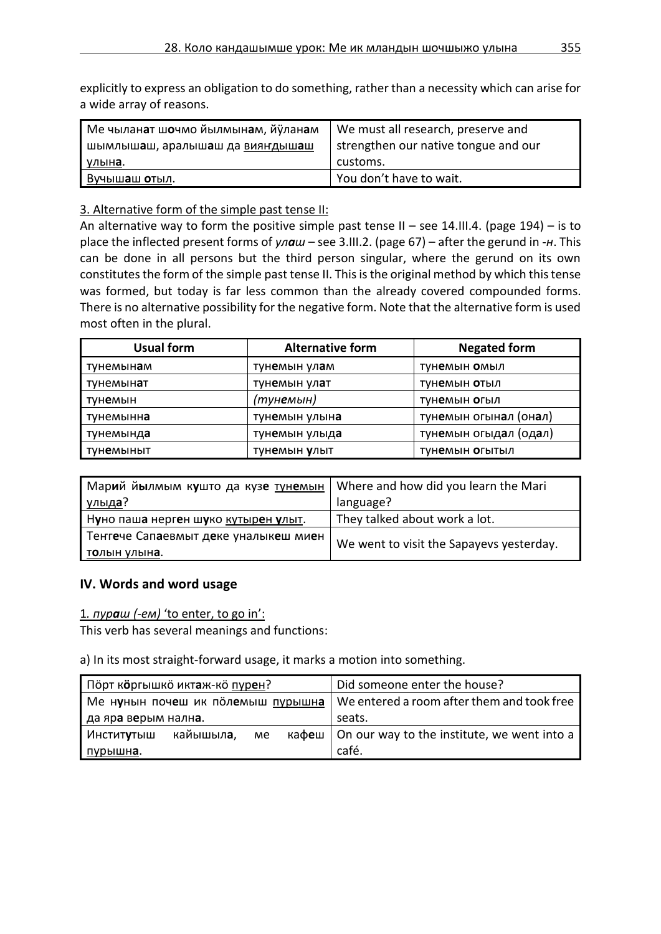explicitly to express an obligation to do something, rather than a necessity which can arise for a wide array of reasons.

| <sup>і</sup> Ме чылан <b>а</b> т ш <b>о</b> чмо йылмынам, йÿланам | We must all research, preserve and   |
|-------------------------------------------------------------------|--------------------------------------|
| шымлышаш, аралышаш да вияндышаш                                   | strengthen our native tongue and our |
| улына.                                                            | customs.                             |
| Вучышаш отыл.                                                     | You don't have to wait.              |

## 3. Alternative form of the simple past tense II:

An alternative way to form the positive simple past tense II – see 14.III.4. (page 194) – is to place the inflected present forms of *улаш* – see 3.III.2. (page 67) – after the gerund in -*н*. This can be done in all persons but the third person singular, where the gerund on its own constitutes the form of the simple past tense II. This is the original method by which this tense was formed, but today is far less common than the already covered compounded forms. There is no alternative possibility for the negative form. Note that the alternative form is used most often in the plural.

| <b>Usual form</b>  | <b>Alternative form</b> | <b>Negated form</b>   |
|--------------------|-------------------------|-----------------------|
| тунемын <b>а</b> м | тунемын улам            | тунемын омыл          |
| тунемын <b>а</b> т | тунемын улат            | тунемын отыл          |
| тун <b>е</b> мын   | (тунемын)               | тунемын огыл          |
| тунемынн <b>а</b>  | тунемын улына           | тунемын огынал (онал) |
| тунемынд <b>а</b>  | тунемын улыда           | тунемын огыдал (одал) |
| түн <b>е</b> мыныт | <b>ТУНЕМЫН УЛЫТ</b>     | <b>ТУНЕМЫН ОГЫТЫЛ</b> |

| . Мар <b>и</b> й й <b>ы</b> лмым к <b>у</b> што да куз <b>е</b> т <u>унемын</u> | Where and how did you learn the Mari     |
|---------------------------------------------------------------------------------|------------------------------------------|
| <u>улыда</u> ?                                                                  | language?                                |
| Нуно паша нерген шуко кутырен улыт.                                             | They talked about work a lot.            |
| Тенгече Сапаевмыт деке уналыкеш миен                                            |                                          |
| <u>толын улына.</u>                                                             | We went to visit the Sapayevs yesterday. |

## **IV. Words and word usage**

1*. пураш (-ем)* 'to enter, to go in':

This verb has several meanings and functions:

a) In its most straight-forward usage, it marks a motion into something.

| Порт к <b>о</b> ргышко иктаж-ко пурен?           |  |  |  | Did someone enter the house?                                 |
|--------------------------------------------------|--|--|--|--------------------------------------------------------------|
| Ме нунын почеш ик полемыш пурышна                |  |  |  | We entered a room after them and took free                   |
| ида яра верым нална.                             |  |  |  | seats.                                                       |
| кайышыл <b>а</b> ,<br>Инстит <b>у</b> тыш<br>me. |  |  |  | $\kappa$ кафеш   On our way to the institute, we went into a |
| пурышна.                                         |  |  |  | café.                                                        |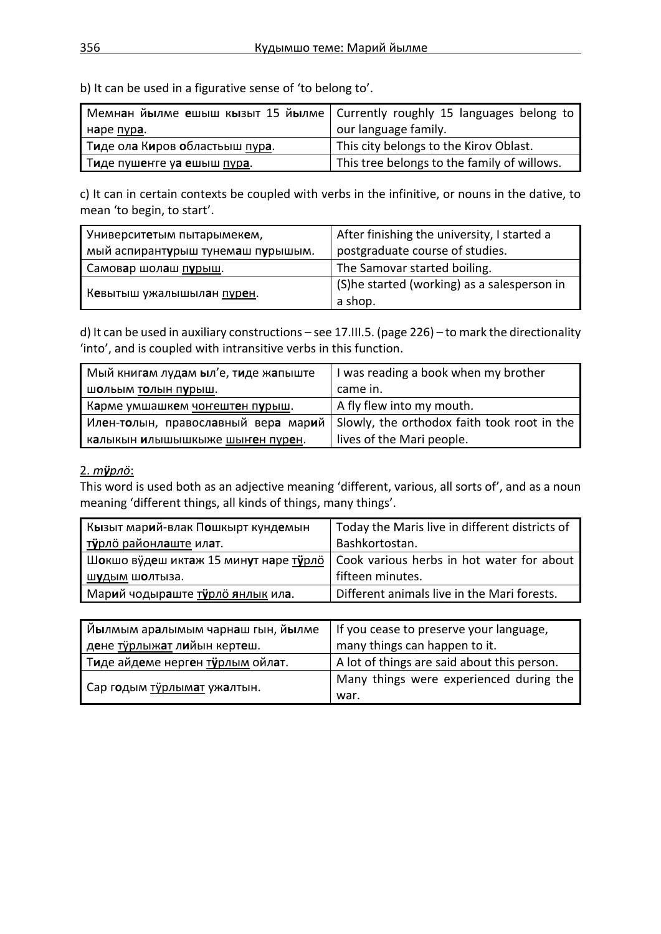b) It can be used in a figurative sense of 'to belong to'.

| Мемнан йылме ешыш кызыт 15 йылме   Currently roughly 15 languages belong to |                                             |
|-----------------------------------------------------------------------------|---------------------------------------------|
| наре <u>пура</u> .                                                          | our language family.                        |
| Тиде ола Киров областьыш пура.                                              | This city belongs to the Kirov Oblast.      |
| Тиде пушенте уа ешыш пура.                                                  | This tree belongs to the family of willows. |

c) It can in certain contexts be coupled with verbs in the infinitive, or nouns in the dative, to mean 'to begin, to start'.

| Университетым пытарымекем,                                   | After finishing the university, I started a  |
|--------------------------------------------------------------|----------------------------------------------|
| мый аспирант <b>у</b> рыш тунем <b>а</b> ш п <b>у</b> рышым. | postgraduate course of studies.              |
| Самовар шолаш пурыш.                                         | The Samovar started boiling.                 |
|                                                              | (S) he started (working) as a salesperson in |
| Кевытыш ужалышылан пурен.                                    | a shop.                                      |

d) It can be used in auxiliary constructions – see 17.III.5. (page 226) – to mark the directionality 'into', and is coupled with intransitive verbs in this function.

| Мый книгам лудам ыл'е, тиде жапыште | I was reading a book when my brother        |
|-------------------------------------|---------------------------------------------|
| шольым толын пурыш.                 | came in.                                    |
| Карме умшашкем чонештен пурыш.      | A fly flew into my mouth.                   |
| Илен-толын, православный вера марий | Slowly, the orthodox faith took root in the |
| калыкын илышышкыже шынен пурен.     | lives of the Mari people.                   |

#### 2. *тӱрлӧ*:

This word is used both as an adjective meaning 'different, various, all sorts of', and as a noun meaning 'different things, all kinds of things, many things'.

| Кызыт марий-влак Пошкырт кундемын     | Today the Maris live in different districts of |
|---------------------------------------|------------------------------------------------|
| тўрло районлаште илат.                | Bashkortostan.                                 |
| Шокшо вудеш иктаж 15 минут наре турло | Cook various herbs in hot water for about      |
| шудым шолтыза.                        | fifteen minutes.                               |
| Марий чодыраште турло янлык ила.      | Different animals live in the Mari forests.    |

| Йылмым аралымым чарнаш гын, йылме | If you cease to preserve your language,     |  |
|-----------------------------------|---------------------------------------------|--|
| дене турлыжат лийын кертеш.       | many things can happen to it.               |  |
| Тиде айдеме нерген турлым ойлат.  | A lot of things are said about this person. |  |
| Сар годым турлымат ужалтын.       | Many things were experienced during the     |  |
|                                   | war.                                        |  |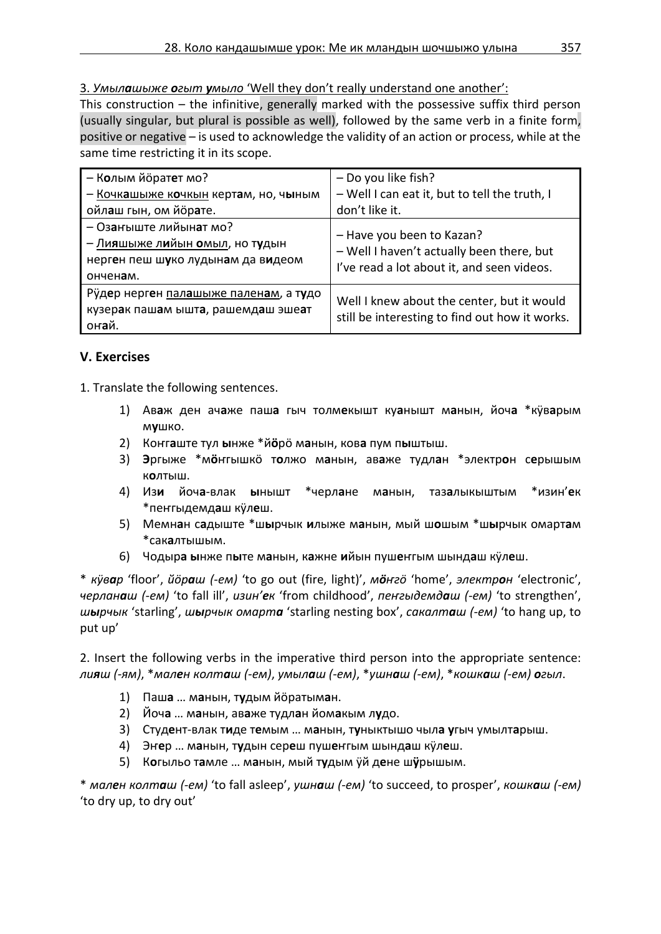3. *Умылашыже огыт умыло* 'Well they don't really understand one another':

This construction – the infinitive, generally marked with the possessive suffix third person (usually singular, but plural is possible as well), followed by the same verb in a finite form, positive or negative – is used to acknowledge the validity of an action or process, while at the same time restricting it in its scope.

| - Колым йоратет мо?                                                                                       | - Do you like fish?                                                                                                  |  |
|-----------------------------------------------------------------------------------------------------------|----------------------------------------------------------------------------------------------------------------------|--|
| - Кочкашыже кочкын кертам, но, чыным                                                                      | - Well I can eat it, but to tell the truth, I                                                                        |  |
| ойлаш гын, ом йорате.                                                                                     | don't like it.                                                                                                       |  |
| - Озаныште лийынат мо?<br>– Лияшыже лийын омыл, но тудын<br>нерген пеш шуко лудынам да видеом<br>онченам. | - Have you been to Kazan?<br>- Well I haven't actually been there, but<br>I've read a lot about it, and seen videos. |  |
| Рўдер нерген палашыже паленам, а тудо<br>кузерак пашам ышта, рашемдаш эшеат<br>онай.                      | Well I knew about the center, but it would<br>still be interesting to find out how it works.                         |  |

# **V. Exercises**

1. Translate the following sentences.

- 1) Ав**а**ж ден ач**а**же паш**а** гыч толм**е**кышт ку**а**нышт м**а**нын, йоч**а** \*кӱв**а**рым м**у**шко.
- 2) Коҥг**а**ште тул **ы**нже \*й**ӧ**рӧ м**а**нын, ков**а** пум п**ы**штыш.
- 3) **Э**ргыже \*м**ӧ**ҥгышкӧ т**о**лжо м**а**нын, ав**а**же тудл**а**н \*электр**о**н с**е**рышым к**о**лтыш.
- 4) Из**и** йоч**а**-влак **ы**нышт \*черл**а**не м**а**нын, таз**а**лыкыштым \*изин'**е**к \*пеҥгыдемд**а**ш кӱл**е**ш.
- 5) Мемн**а**н с**а**дыште \*ш**ы**рчык **и**лыже м**а**нын, мый ш**о**шым \*ш**ы**рчык омарт**а**м \*сак**а**лтышым.
- 6) Чодыр**а ы**нже п**ы**те м**а**нын, к**а**жне **и**йын пуш**е**ҥгым шынд**а**ш кӱл**е**ш.

\* *кӱвар* 'floor', *йӧраш (-ем)* 'to go out (fire, light)', *мӧҥгӧ* 'home', *электрон* 'electronic', *черланаш (-ем)* 'to fall ill', *изин'ек* 'from childhood', *пеҥгыдемдаш (-ем)* 'to strengthen', *шырчык* 'starling', *шырчык омарта* 'starling nesting box', *сакалташ (-ем)* 'to hang up, to put up'

2. Insert the following verbs in the imperative third person into the appropriate sentence: лияш (-ям), \*мален колташ (-ем), умылаш (-ем), \*ушнаш (-ем), \*кошкаш (-ем) огыл.

- 1) Паш**а** … м**а**нын, т**у**дым йӧратым**а**н.
- 2) Йоч**а** … м**а**нын, ав**а**же тудл**а**н йом**а**кым л**у**до.
- 3) Студ**е**нт-влак т**и**де т**е**мым … м**а**нын, т**у**ныктышо чыл**а у**гыч умылт**а**рыш.
- 4) Эҥ**е**р … м**а**нын, т**у**дын сер**е**ш пуш**е**ҥгым шынд**а**ш кӱл**е**ш.
- 5) К**о**гыльо т**а**мле … м**а**нын, мый т**у**дым ӱй д**е**не ш**ӱ**рышым.

\* *мален колташ (-ем)* 'to fall asleep', *ушнаш (-ем)* 'to succeed, to prosper', *кошкаш (-ем)*  'to dry up, to dry out'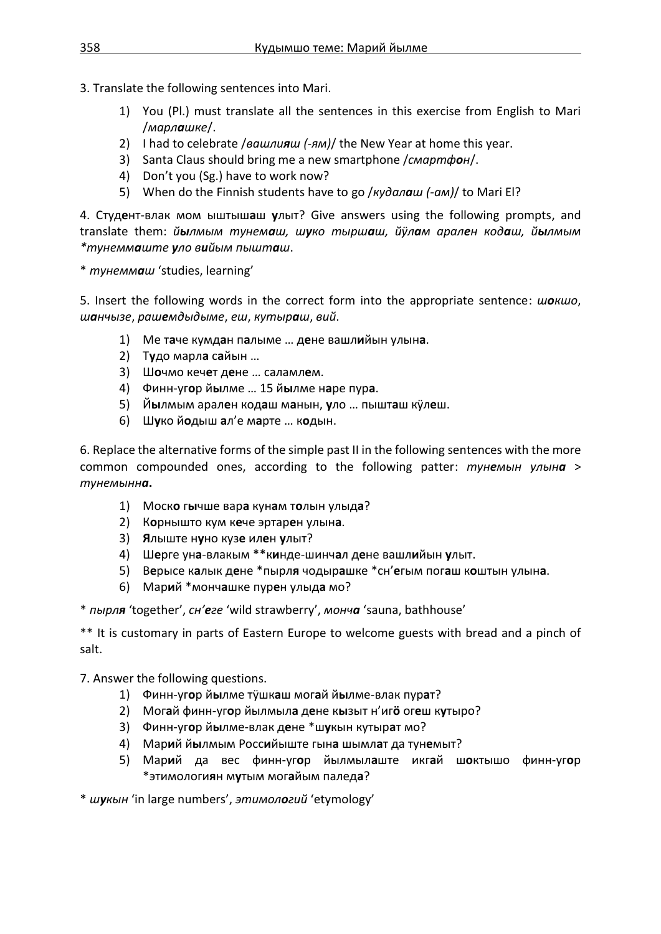- 3. Translate the following sentences into Mari.
	- 1) You (Pl.) must translate all the sentences in this exercise from English to Mari /*марлашке*/.
	- 2) I had to celebrate /*вашлияш (-ям)*/ the New Year at home this year.
	- 3) Santa Claus should bring me a new smartphone /*смартфон*/.
	- 4) Don't you (Sg.) have to work now?
	- 5) When do the Finnish students have to go /*кудалаш (-ам)*/ to Mari El?

4. Студ**е**нт-влак мом ыштыш**а**ш **у**лыт? Give answers using the following prompts, and translate them: *йылмым тунемаш, шуко тыршаш, йӱлам арален кодаш, йылмым \*тунеммаште уло вийым пышташ*.

\* *тунеммаш* 'studies, learning'

5. Insert the following words in the correct form into the appropriate sentence: *шокшо*, *шанчызе*, *рашемдыдыме*, *еш*, *кутыраш*, *вий*.

- 1) Ме т**а**че кумд**а**н п**а**лыме … д**е**не вашл**и**йын улын**а**.
- 2) Т**у**до марл**а** с**а**йын …
- 3) Ш**о**чмо кеч**е**т д**е**не … саламл**е**м.
- 4) Финн-уг**о**р й**ы**лме … 15 й**ы**лме н**а**ре пур**а**.
- 5) Й**ы**лмым арал**е**н код**а**ш м**а**нын, **у**ло … пышт**а**ш кӱл**е**ш.
- 6) Ш**у**ко й**о**дыш **а**л'е м**а**рте … к**о**дын.

6. Replace the alternative forms of the simple past II in the following sentences with the more common compounded ones, according to the following patter: *тунемын улына* > *тунемынна***.**

- 1) Моск**о** г**ы**чше вар**а** кун**а**м т**о**лын улыд**а**?
- 2) К**о**рнышто кум к**е**че эртар**е**н улын**а**.
- 3) **Я**лыште н**у**но куз**е** ил**е**н **у**лыт?
- 4) Ш**е**рге ун**а**-влакым \*\*к**и**нде-шинч**а**л д**е**не вашл**и**йын **у**лыт.
- 5) В**е**рысе к**а**лык д**е**не \*пырл**я** чодыр**а**шке \*сн'**е**гым пог**а**ш к**о**штын улын**а**.
- 6) Мар**и**й \*монч**а**шке пур**е**н улыд**а** мо?

\* *пырля* 'together', *сн'еге* 'wild strawberry', *монча* 'sauna, bathhouse'

\*\* It is customary in parts of Eastern Europe to welcome guests with bread and a pinch of salt.

7. Answer the following questions.

- 1) Финн-уг**о**р й**ы**лме тӱшк**а**ш мог**а**й й**ы**лме-влак пур**а**т?
- 2) Мог**а**й финн-уг**о**р йылмыл**а** д**е**не к**ы**зыт н'иг**ӧ** ог**е**ш к**у**тыро?
- 3) Финн-уг**о**р й**ы**лме-влак д**е**не \*ш**у**кын кутыр**а**т мо?
- 4) Мар**и**й й**ы**лмым Росс**и**йыште гын**а** шымл**а**т да тун**е**мыт?
- 5) Мар**и**й да вес финн-уг**о**р йылмыл**а**ште икг**а**й ш**о**ктышо финн-уг**о**р \*этимологи**я**н м**у**тым мог**а**йым палед**а**?

\* *шукын* 'in large numbers', *этимологий* 'etymology'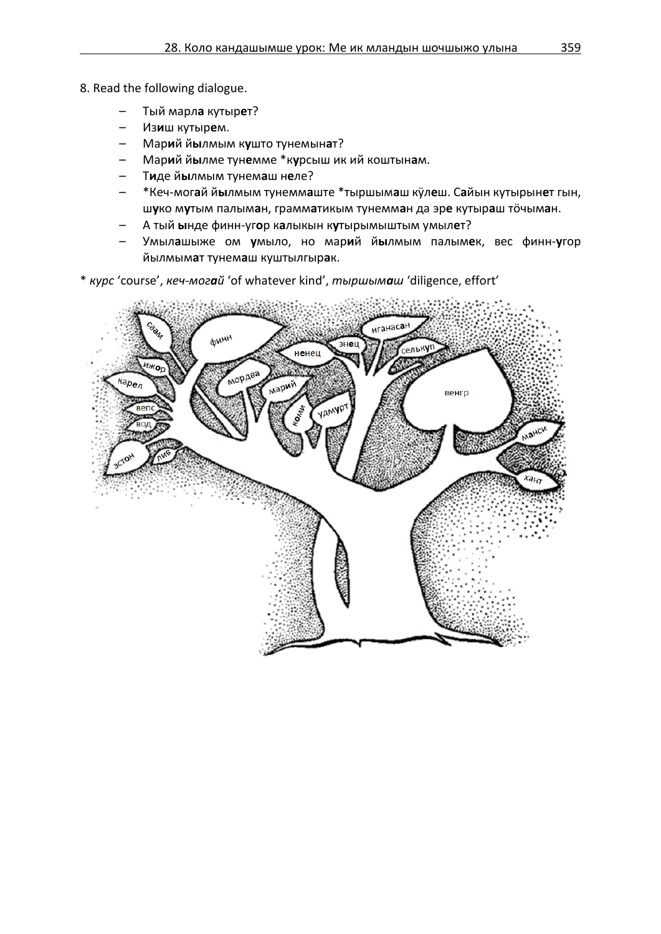- 8. Read the following dialogue.
	- Тый марл**а** кутыр**е**т?
	- Из**и**ш кутыр**е**м.
	- Мар**и**й й**ы**лмым к**у**што тунемын**а**т?
	- Мар**и**й й**ы**лме тун**е**мме \*к**у**рсыш ик ий коштын**а**м.
	- Т**и**де й**ы**лмым тунем**а**ш н**е**ле?
	- \*Кеч-мог**а**й й**ы**лмым тунемм**а**ште \*тыршым**а**ш кӱл**е**ш. С**а**йын кутырын**е**т гын, ш**у**ко м**у**тым палым**а**н, грамм**а**тикым тунемм**а**н да эр**е** кутыр**а**ш тӧчым**а**н.
	- А тый **ы**нде финн-уг**о**р к**а**лыкын к**у**тырымыштым умыл**е**т?
	- Умыл**а**шыже ом **у**мыло, но мар**и**й й**ы**лмым палым**е**к, вес финн-**у**гор йылмым**а**т тунем**а**ш куштылгыр**а**к.
- \* *курс* 'course', *кеч-могай* 'of whatever kind', *тыршымаш* 'diligence, effort'

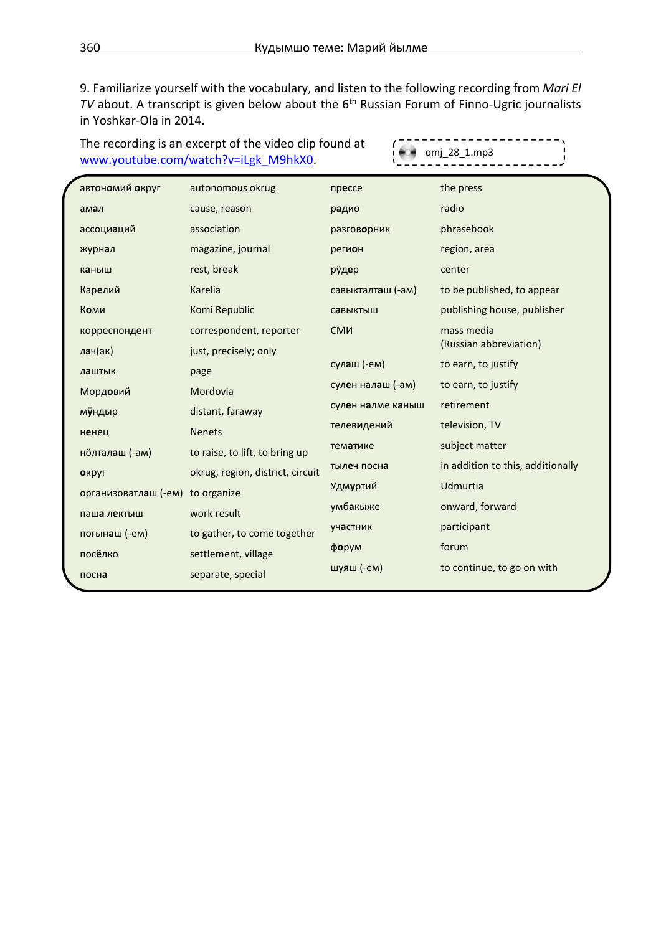9. Familiarize yourself with the vocabulary, and listen to the following recording from *Mari El TV* about. A transcript is given below about the 6<sup>th</sup> Russian Forum of Finno-Ugric journalists in Yoshkar-Ola in 2014.

The recording is an excerpt of the video clip found at [www.youtube.com/watch?v=iLgk\\_M9hkX0.](http://www.youtube.com/watch?v=iLgk_M9hkX0)

 $\mathbf{f}$ omj\_28\_1.mp3

| автономий округ                  | autonomous okrug                 | прессе            | the press                         |
|----------------------------------|----------------------------------|-------------------|-----------------------------------|
| амал                             | cause, reason                    | радио             | radio                             |
| ассоциаций                       | association                      | разговорник       | phrasebook                        |
| журнал                           | magazine, journal                | регион            | region, area                      |
| каныш                            | rest, break                      | рÿд <b>е</b> р    | center                            |
| Карелий                          | Karelia                          | савыкталташ (-ам) | to be published, to appear        |
| Коми                             | Komi Republic                    | савыктыш          | publishing house, publisher       |
| корреспондент                    | correspondent, reporter          | <b>CMM</b>        | mass media                        |
| лач(ак)                          | just, precisely; only            |                   | (Russian abbreviation)            |
| лаштык                           | page                             | сулаш (-ем)       | to earn, to justify               |
| Мордовий                         | Mordovia                         | сулен налаш (-ам) | to earn, to justify               |
| мўндыр                           | distant, faraway                 | сулен налме каныш | retirement                        |
| ненец                            | <b>Nenets</b>                    | телевидений       | television, TV                    |
| нолталаш (-ам)                   | to raise, to lift, to bring up   | тематике          | subject matter                    |
| округ                            | okrug, region, district, circuit | тылеч посна       | in addition to this, additionally |
| организоватлаш (-ем) to organize |                                  | Удм <b>у</b> ртий | Udmurtia                          |
| паша лектыш                      | work result                      | умб <b>а</b> кыже | onward, forward                   |
| погынаш (-ем)                    | to gather, to come together      | участник          | participant                       |
| посёлко                          | settlement, village              | форум             | forum                             |
| посна                            | separate, special                | шуяш (-ем)        | to continue, to go on with        |
|                                  |                                  |                   |                                   |